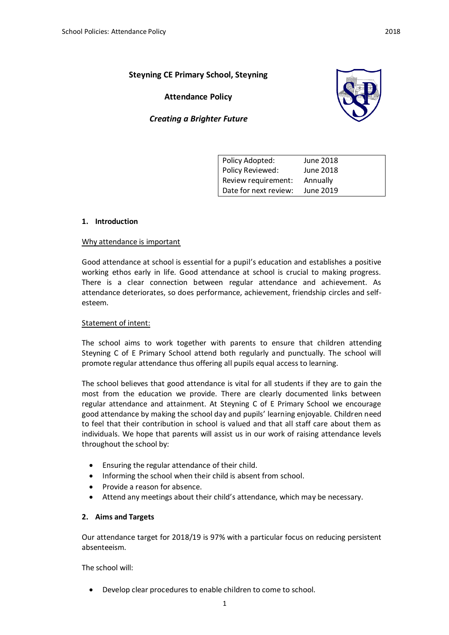# **Steyning CE Primary School, Steyning**

**Attendance Policy** 





| Policy Adopted:       | June 2018 |
|-----------------------|-----------|
| Policy Reviewed:      | June 2018 |
| Review requirement:   | Annually  |
| Date for next review: | June 2019 |

### **1. Introduction**

#### Why attendance is important

Good attendance at school is essential for a pupil's education and establishes a positive working ethos early in life. Good attendance at school is crucial to making progress. There is a clear connection between regular attendance and achievement. As attendance deteriorates, so does performance, achievement, friendship circles and selfesteem.

### Statement of intent:

The school aims to work together with parents to ensure that children attending Steyning C of E Primary School attend both regularly and punctually. The school will promote regular attendance thus offering all pupils equal access to learning.

The school believes that good attendance is vital for all students if they are to gain the most from the education we provide. There are clearly documented links between regular attendance and attainment. At Steyning C of E Primary School we encourage good attendance by making the school day and pupils' learning enjoyable. Children need to feel that their contribution in school is valued and that all staff care about them as individuals. We hope that parents will assist us in our work of raising attendance levels throughout the school by:

- Ensuring the regular attendance of their child.
- Informing the school when their child is absent from school.
- Provide a reason for absence.
- Attend any meetings about their child's attendance, which may be necessary.

### **2. Aims and Targets**

Our attendance target for 2018/19 is 97% with a particular focus on reducing persistent absenteeism.

The school will:

Develop clear procedures to enable children to come to school.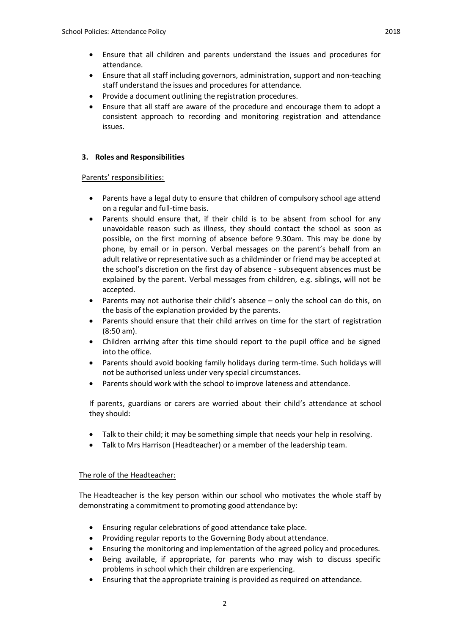- Ensure that all staff including governors, administration, support and non-teaching staff understand the issues and procedures for attendance.
- Provide a document outlining the registration procedures.
- Ensure that all staff are aware of the procedure and encourage them to adopt a consistent approach to recording and monitoring registration and attendance issues.

# **3. Roles and Responsibilities**

### Parents' responsibilities:

- Parents have a legal duty to ensure that children of compulsory school age attend on a regular and full-time basis.
- Parents should ensure that, if their child is to be absent from school for any unavoidable reason such as illness, they should contact the school as soon as possible, on the first morning of absence before 9.30am. This may be done by phone, by email or in person. Verbal messages on the parent's behalf from an adult relative or representative such as a childminder or friend may be accepted at the school's discretion on the first day of absence - subsequent absences must be explained by the parent. Verbal messages from children, e.g. siblings, will not be accepted.
- Parents may not authorise their child's absence only the school can do this, on the basis of the explanation provided by the parents.
- Parents should ensure that their child arrives on time for the start of registration (8:50 am).
- Children arriving after this time should report to the pupil office and be signed into the office.
- Parents should avoid booking family holidays during term-time. Such holidays will not be authorised unless under very special circumstances.
- Parents should work with the school to improve lateness and attendance.

If parents, guardians or carers are worried about their child's attendance at school they should:

- Talk to their child; it may be something simple that needs your help in resolving.
- Talk to Mrs Harrison (Headteacher) or a member of the leadership team.

### The role of the Headteacher:

The Headteacher is the key person within our school who motivates the whole staff by demonstrating a commitment to promoting good attendance by:

- Ensuring regular celebrations of good attendance take place.
- Providing regular reports to the Governing Body about attendance.
- Ensuring the monitoring and implementation of the agreed policy and procedures.
- Being available, if appropriate, for parents who may wish to discuss specific problems in school which their children are experiencing.
- Ensuring that the appropriate training is provided as required on attendance.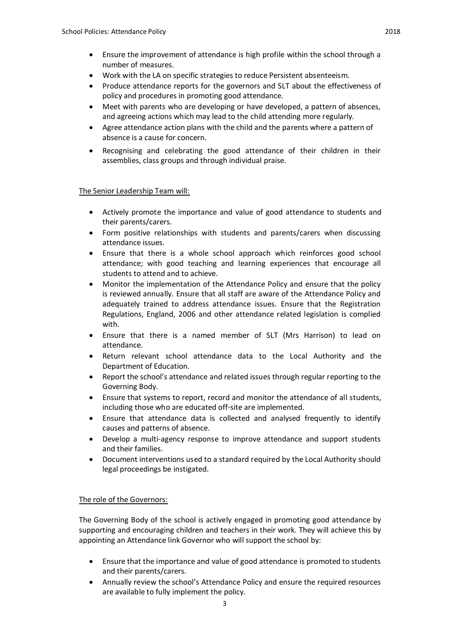- Ensure the improvement of attendance is high profile within the school through a number of measures.
- Work with the LA on specific strategies to reduce Persistent absenteeism.
- Produce attendance reports for the governors and SLT about the effectiveness of policy and procedures in promoting good attendance.
- Meet with parents who are developing or have developed, a pattern of absences, and agreeing actions which may lead to the child attending more regularly.
- Agree attendance action plans with the child and the parents where a pattern of absence is a cause for concern.
- Recognising and celebrating the good attendance of their children in their assemblies, class groups and through individual praise.

### The Senior Leadership Team will:

- Actively promote the importance and value of good attendance to students and their parents/carers.
- Form positive relationships with students and parents/carers when discussing attendance issues.
- Ensure that there is a whole school approach which reinforces good school attendance; with good teaching and learning experiences that encourage all students to attend and to achieve.
- Monitor the implementation of the Attendance Policy and ensure that the policy is reviewed annually. Ensure that all staff are aware of the Attendance Policy and adequately trained to address attendance issues. Ensure that the Registration Regulations, England, 2006 and other attendance related legislation is complied with.
- Ensure that there is a named member of SLT (Mrs Harrison) to lead on attendance.
- Return relevant school attendance data to the Local Authority and the Department of Education.
- Report the school's attendance and related issues through regular reporting to the Governing Body.
- Ensure that systems to report, record and monitor the attendance of all students, including those who are educated off-site are implemented.
- Ensure that attendance data is collected and analysed frequently to identify causes and patterns of absence.
- Develop a multi-agency response to improve attendance and support students and their families.
- Document interventions used to a standard required by the Local Authority should legal proceedings be instigated.

# The role of the Governors:

The Governing Body of the school is actively engaged in promoting good attendance by supporting and encouraging children and teachers in their work. They will achieve this by appointing an Attendance link Governor who will support the school by:

- Ensure that the importance and value of good attendance is promoted to students and their parents/carers.
- Annually review the school's Attendance Policy and ensure the required resources are available to fully implement the policy.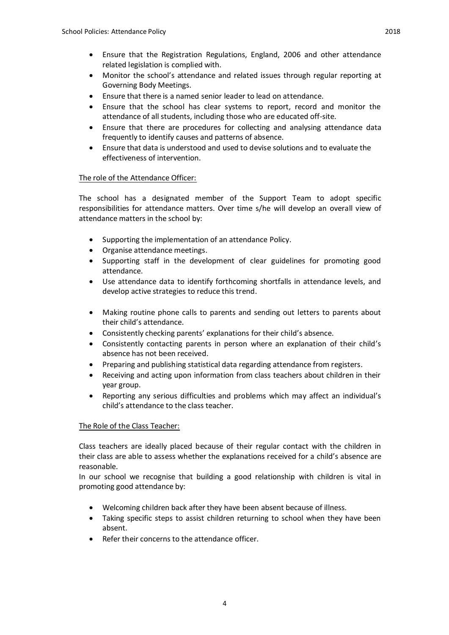- Monitor the school's attendance and related issues through regular reporting at Governing Body Meetings.
- Ensure that there is a named senior leader to lead on attendance.
- Ensure that the school has clear systems to report, record and monitor the attendance of all students, including those who are educated off-site.
- Ensure that there are procedures for collecting and analysing attendance data frequently to identify causes and patterns of absence.
- Ensure that data is understood and used to devise solutions and to evaluate the effectiveness of intervention.

### The role of the Attendance Officer:

The school has a designated member of the Support Team to adopt specific responsibilities for attendance matters. Over time s/he will develop an overall view of attendance matters in the school by:

- Supporting the implementation of an attendance Policy.
- Organise attendance meetings.
- Supporting staff in the development of clear guidelines for promoting good attendance.
- Use attendance data to identify forthcoming shortfalls in attendance levels, and develop active strategies to reduce this trend.
- Making routine phone calls to parents and sending out letters to parents about their child's attendance.
- Consistently checking parents' explanations for their child's absence.
- Consistently contacting parents in person where an explanation of their child's absence has not been received.
- Preparing and publishing statistical data regarding attendance from registers.
- Receiving and acting upon information from class teachers about children in their year group.
- Reporting any serious difficulties and problems which may affect an individual's child's attendance to the class teacher.

### The Role of the Class Teacher:

Class teachers are ideally placed because of their regular contact with the children in their class are able to assess whether the explanations received for a child's absence are reasonable.

In our school we recognise that building a good relationship with children is vital in promoting good attendance by:

- Welcoming children back after they have been absent because of illness.
- Taking specific steps to assist children returning to school when they have been absent.
- Refer their concerns to the attendance officer.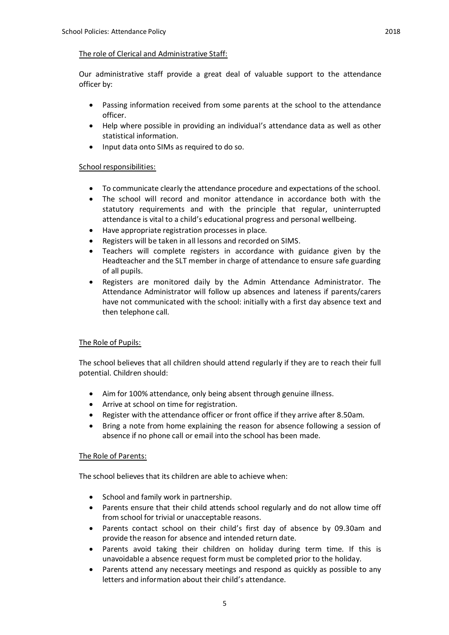#### The role of Clerical and Administrative Staff:

Our administrative staff provide a great deal of valuable support to the attendance officer by:

- Passing information received from some parents at the school to the attendance officer.
- Help where possible in providing an individual's attendance data as well as other statistical information.
- Input data onto SIMs as required to do so.

### School responsibilities:

- To communicate clearly the attendance procedure and expectations of the school.
- The school will record and monitor attendance in accordance both with the statutory requirements and with the principle that regular, uninterrupted attendance is vital to a child's educational progress and personal wellbeing.
- Have appropriate registration processes in place.
- Registers will be taken in all lessons and recorded on SIMS.
- Teachers will complete registers in accordance with guidance given by the Headteacher and the SLT member in charge of attendance to ensure safe guarding of all pupils.
- Registers are monitored daily by the Admin Attendance Administrator. The Attendance Administrator will follow up absences and lateness if parents/carers have not communicated with the school: initially with a first day absence text and then telephone call.

### The Role of Pupils:

The school believes that all children should attend regularly if they are to reach their full potential. Children should:

- Aim for 100% attendance, only being absent through genuine illness.
- Arrive at school on time for registration.
- Register with the attendance officer or front office if they arrive after 8.50am.
- Bring a note from home explaining the reason for absence following a session of absence if no phone call or email into the school has been made.

### The Role of Parents:

The school believes that its children are able to achieve when:

- School and family work in partnership.
- Parents ensure that their child attends school regularly and do not allow time off from school for trivial or unacceptable reasons.
- Parents contact school on their child's first day of absence by 09.30am and provide the reason for absence and intended return date.
- Parents avoid taking their children on holiday during term time. If this is unavoidable a absence request form must be completed prior to the holiday.
- Parents attend any necessary meetings and respond as quickly as possible to any letters and information about their child's attendance.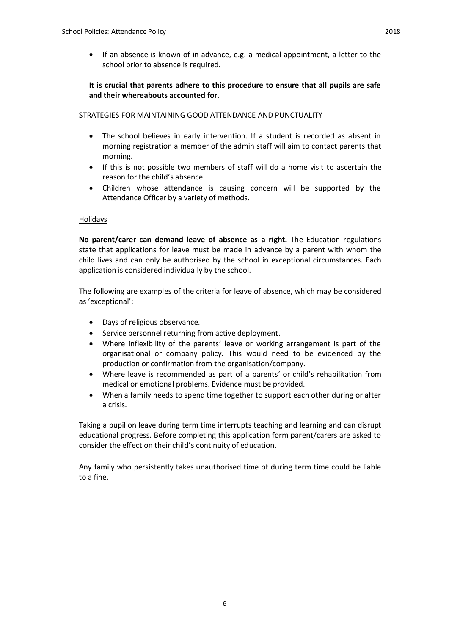### **It is crucial that parents adhere to this procedure to ensure that all pupils are safe and their whereabouts accounted for.**

### STRATEGIES FOR MAINTAINING GOOD ATTENDANCE AND PUNCTUALITY

- The school believes in early intervention. If a student is recorded as absent in morning registration a member of the admin staff will aim to contact parents that morning.
- If this is not possible two members of staff will do a home visit to ascertain the reason for the child's absence.
- Children whose attendance is causing concern will be supported by the Attendance Officer by a variety of methods.

### Holidays

**No parent/carer can demand leave of absence as a right.** The Education regulations state that applications for leave must be made in advance by a parent with whom the child lives and can only be authorised by the school in exceptional circumstances. Each application is considered individually by the school.

The following are examples of the criteria for leave of absence, which may be considered as 'exceptional':

- Days of religious observance.
- Service personnel returning from active deployment.
- Where inflexibility of the parents' leave or working arrangement is part of the organisational or company policy. This would need to be evidenced by the production or confirmation from the organisation/company.
- Where leave is recommended as part of a parents' or child's rehabilitation from medical or emotional problems. Evidence must be provided.
- When a family needs to spend time together to support each other during or after a crisis.

Taking a pupil on leave during term time interrupts teaching and learning and can disrupt educational progress. Before completing this application form parent/carers are asked to consider the effect on their child's continuity of education.

Any family who persistently takes unauthorised time of during term time could be liable to a fine.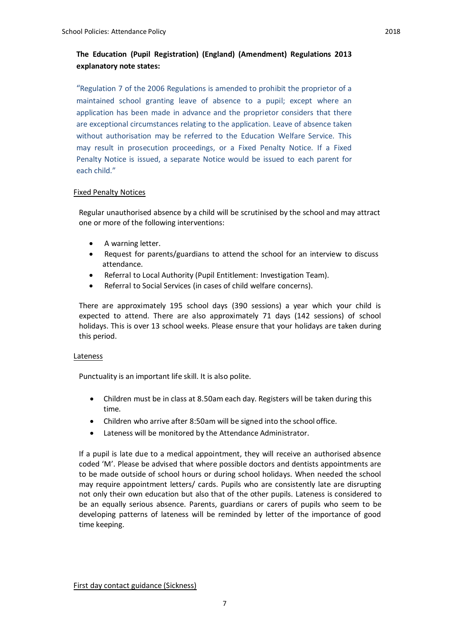"Regulation 7 of the 2006 Regulations is amended to prohibit the proprietor of a maintained school granting leave of absence to a pupil; except where an application has been made in advance and the proprietor considers that there are exceptional circumstances relating to the application. Leave of absence taken without authorisation may be referred to the Education Welfare Service. This may result in prosecution proceedings, or a Fixed Penalty Notice. If a Fixed Penalty Notice is issued, a separate Notice would be issued to each parent for each child."

### Fixed Penalty Notices

Regular unauthorised absence by a child will be scrutinised by the school and may attract one or more of the following interventions:

- A warning letter.
- Request for parents/guardians to attend the school for an interview to discuss attendance.
- Referral to Local Authority (Pupil Entitlement: Investigation Team).
- Referral to Social Services (in cases of child welfare concerns).

There are approximately 195 school days (390 sessions) a year which your child is expected to attend. There are also approximately 71 days (142 sessions) of school holidays. This is over 13 school weeks. Please ensure that your holidays are taken during this period.

### Lateness

Punctuality is an important life skill. It is also polite.

- Children must be in class at 8.50am each day. Registers will be taken during this time.
- Children who arrive after 8:50am will be signed into the school office.
- Lateness will be monitored by the Attendance Administrator.

If a pupil is late due to a medical appointment, they will receive an authorised absence coded 'M'. Please be advised that where possible doctors and dentists appointments are to be made outside of school hours or during school holidays. When needed the school may require appointment letters/ cards. Pupils who are consistently late are disrupting not only their own education but also that of the other pupils. Lateness is considered to be an equally serious absence. Parents, guardians or carers of pupils who seem to be developing patterns of lateness will be reminded by letter of the importance of good time keeping.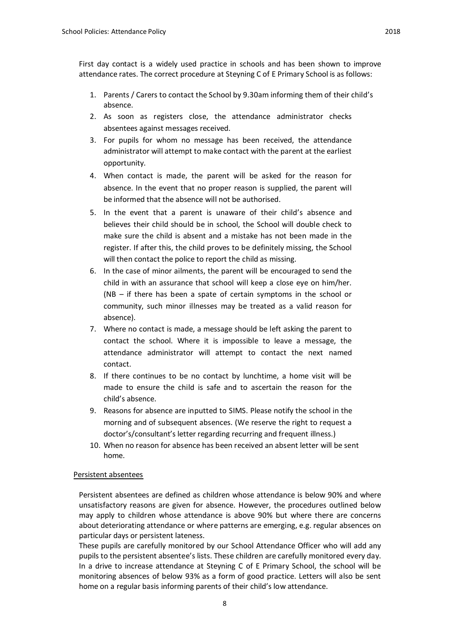First day contact is a widely used practice in schools and has been shown to improve attendance rates. The correct procedure at Steyning C of E Primary School is as follows:

- 1. Parents / Carers to contact the School by 9.30am informing them of their child's absence.
- 2. As soon as registers close, the attendance administrator checks absentees against messages received.
- 3. For pupils for whom no message has been received, the attendance administrator will attempt to make contact with the parent at the earliest opportunity.
- 4. When contact is made, the parent will be asked for the reason for absence. In the event that no proper reason is supplied, the parent will be informed that the absence will not be authorised.
- 5. In the event that a parent is unaware of their child's absence and believes their child should be in school, the School will double check to make sure the child is absent and a mistake has not been made in the register. If after this, the child proves to be definitely missing, the School will then contact the police to report the child as missing.
- 6. In the case of minor ailments, the parent will be encouraged to send the child in with an assurance that school will keep a close eye on him/her. (NB – if there has been a spate of certain symptoms in the school or community, such minor illnesses may be treated as a valid reason for absence).
- 7. Where no contact is made, a message should be left asking the parent to contact the school. Where it is impossible to leave a message, the attendance administrator will attempt to contact the next named contact.
- 8. If there continues to be no contact by lunchtime, a home visit will be made to ensure the child is safe and to ascertain the reason for the child's absence.
- 9. Reasons for absence are inputted to SIMS. Please notify the school in the morning and of subsequent absences. (We reserve the right to request a doctor's/consultant's letter regarding recurring and frequent illness.)
- 10. When no reason for absence has been received an absent letter will be sent home.

### Persistent absentees

Persistent absentees are defined as children whose attendance is below 90% and where unsatisfactory reasons are given for absence. However, the procedures outlined below may apply to children whose attendance is above 90% but where there are concerns about deteriorating attendance or where patterns are emerging, e.g. regular absences on particular days or persistent lateness.

These pupils are carefully monitored by our School Attendance Officer who will add any pupils to the persistent absentee's lists. These children are carefully monitored every day. In a drive to increase attendance at Steyning C of E Primary School, the school will be monitoring absences of below 93% as a form of good practice. Letters will also be sent home on a regular basis informing parents of their child's low attendance.